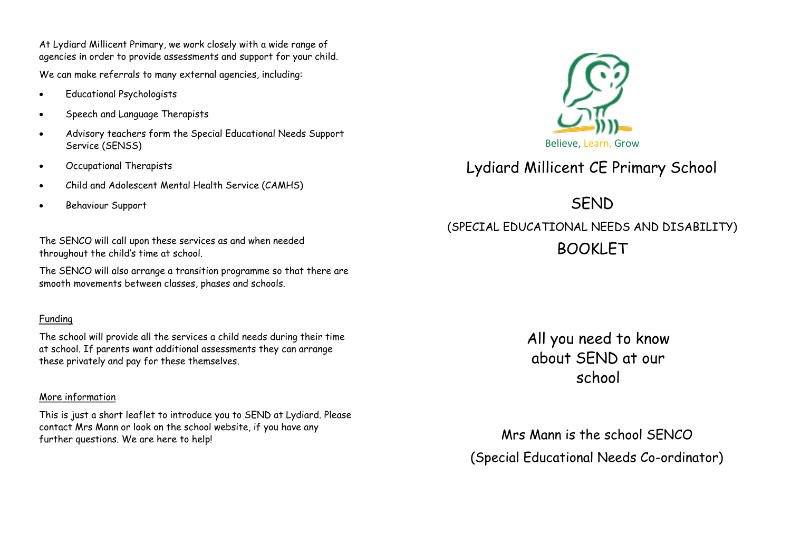At Lydiard Millicent Primary, we work closely with a wide range of agencies in order to provide assessments and support for your child.

We can make referrals to many external agencies, including:

- Educational Psychologists
- Speech and Language Therapists
- Advisory teachers form the Special Educational Needs Support Service (SENSS)
- Occupational Therapists
- Child and Adolescent Mental Health Service (CAMHS)
- Behaviour Support

The SENCO will call upon these services as and when needed throughout the child's time at school.

The SENCO will also arrange a transition programme so that there are smooth movements between classes, phases and schools.

# Funding

The school will provide all the services a child needs during their time at school. If parents want additional assessments they can arrange these privately and pay for these themselves.

## More information

This is just a short leaflet to introduce you to SEND at Lydiard. Please contact Mrs Mann or look on the school website, if you have any further questions. We are here to help!



Lydiard Millicent CE Primary School

**SEND** (SPECIAL EDUCATIONAL NEEDS AND DISABILITY) BOOKLET

> All you need to know about SEND at our school

Mrs Mann is the school SENCO (Special Educational Needs Co-ordinator)